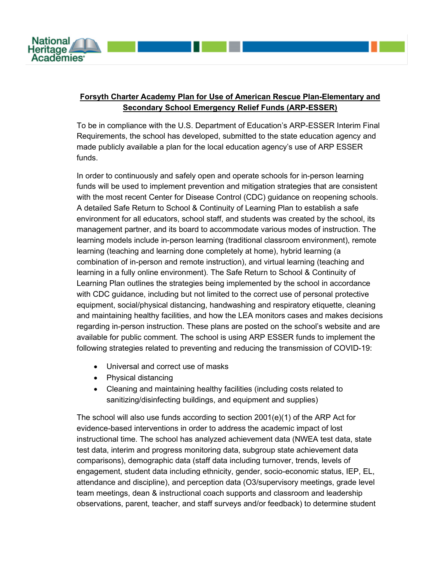

## **Forsyth Charter Academy Plan for Use of American Rescue Plan-Elementary and Secondary School Emergency Relief Funds (ARP-ESSER)**

To be in compliance with the U.S. Department of Education's ARP-ESSER Interim Final Requirements, the school has developed, submitted to the state education agency and made publicly available a plan for the local education agency's use of ARP ESSER funds.

In order to continuously and safely open and operate schools for in-person learning funds will be used to implement prevention and mitigation strategies that are consistent with the most recent Center for Disease Control (CDC) guidance on reopening schools. A detailed Safe Return to School & Continuity of Learning Plan to establish a safe environment for all educators, school staff, and students was created by the school, its management partner, and its board to accommodate various modes of instruction. The learning models include in-person learning (traditional classroom environment), remote learning (teaching and learning done completely at home), hybrid learning (a combination of in-person and remote instruction), and virtual learning (teaching and learning in a fully online environment). The Safe Return to School & Continuity of Learning Plan outlines the strategies being implemented by the school in accordance with CDC guidance, including but not limited to the correct use of personal protective equipment, social/physical distancing, handwashing and respiratory etiquette, cleaning and maintaining healthy facilities, and how the LEA monitors cases and makes decisions regarding in-person instruction. These plans are posted on the school's website and are available for public comment. The school is using ARP ESSER funds to implement the following strategies related to preventing and reducing the transmission of COVID-19:

- Universal and correct use of masks
- Physical distancing
- Cleaning and maintaining healthy facilities (including costs related to sanitizing/disinfecting buildings, and equipment and supplies)

The school will also use funds according to section 2001(e)(1) of the ARP Act for evidence-based interventions in order to address the academic impact of lost instructional time. The school has analyzed achievement data (NWEA test data, state test data, interim and progress monitoring data, subgroup state achievement data comparisons), demographic data (staff data including turnover, trends, levels of engagement, student data including ethnicity, gender, socio-economic status, IEP, EL, attendance and discipline), and perception data (O3/supervisory meetings, grade level team meetings, dean & instructional coach supports and classroom and leadership observations, parent, teacher, and staff surveys and/or feedback) to determine student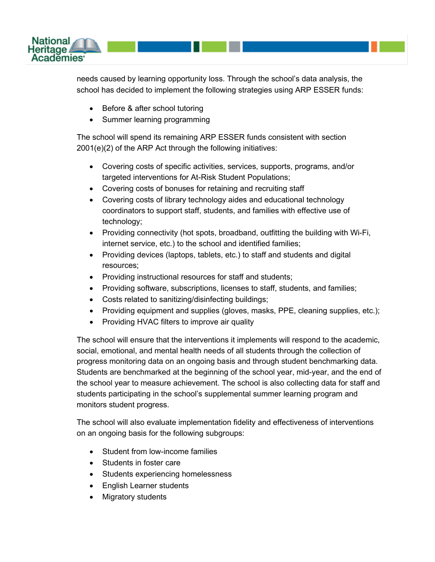

needs caused by learning opportunity loss. Through the school's data analysis, the school has decided to implement the following strategies using ARP ESSER funds:

- Before & after school tutoring
- Summer learning programming

The school will spend its remaining ARP ESSER funds consistent with section 2001(e)(2) of the ARP Act through the following initiatives:

- Covering costs of specific activities, services, supports, programs, and/or targeted interventions for At-Risk Student Populations;
- Covering costs of bonuses for retaining and recruiting staff
- Covering costs of library technology aides and educational technology coordinators to support staff, students, and families with effective use of technology;
- Providing connectivity (hot spots, broadband, outfitting the building with Wi-Fi, internet service, etc.) to the school and identified families;
- Providing devices (laptops, tablets, etc.) to staff and students and digital resources;
- Providing instructional resources for staff and students;
- Providing software, subscriptions, licenses to staff, students, and families;
- Costs related to sanitizing/disinfecting buildings;
- Providing equipment and supplies (gloves, masks, PPE, cleaning supplies, etc.);
- Providing HVAC filters to improve air quality

The school will ensure that the interventions it implements will respond to the academic, social, emotional, and mental health needs of all students through the collection of progress monitoring data on an ongoing basis and through student benchmarking data. Students are benchmarked at the beginning of the school year, mid-year, and the end of the school year to measure achievement. The school is also collecting data for staff and students participating in the school's supplemental summer learning program and monitors student progress.

The school will also evaluate implementation fidelity and effectiveness of interventions on an ongoing basis for the following subgroups:

- Student from low-income families
- Students in foster care
- Students experiencing homelessness
- English Learner students
- Migratory students